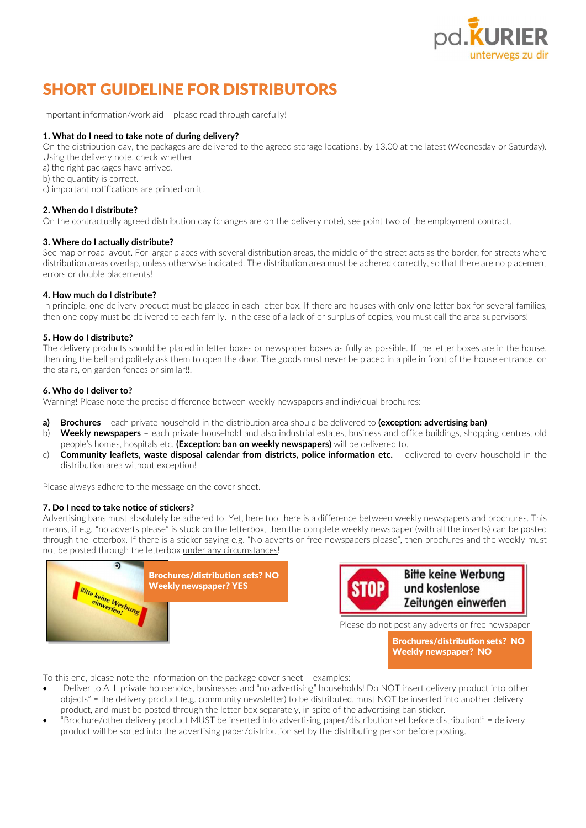

# SHORT GUIDELINE FOR DISTRIBUTORS

Important information/work aid – please read through carefully!

# 1. What do I need to take note of during delivery?

On the distribution day, the packages are delivered to the agreed storage locations, by 13.00 at the latest (Wednesday or Saturday). Using the delivery note, check whether

a) the right packages have arrived.

b) the quantity is correct.

c) important notifications are printed on it.

# 2. When do I distribute?

On the contractually agreed distribution day (changes are on the delivery note), see point two of the employment contract.

### 3. Where do I actually distribute?

See map or road layout. For larger places with several distribution areas, the middle of the street acts as the border, for streets where distribution areas overlap, unless otherwise indicated. The distribution area must be adhered correctly, so that there are no placement errors or double placements!

# 4. How much do I distribute?

In principle, one delivery product must be placed in each letter box. If there are houses with only one letter box for several families, then one copy must be delivered to each family. In the case of a lack of or surplus of copies, you must call the area supervisors!

# 5. How do I distribute?

The delivery products should be placed in letter boxes or newspaper boxes as fully as possible. If the letter boxes are in the house, then ring the bell and politely ask them to open the door. The goods must never be placed in a pile in front of the house entrance, on the stairs, on garden fences or similar!!!

# 6. Who do I deliver to?

Warning! Please note the precise difference between weekly newspapers and individual brochures:

- a) Brochures each private household in the distribution area should be delivered to (exception: advertising ban)
- b) Weekly newspapers each private household and also industrial estates, business and office buildings, shopping centres, old people's homes, hospitals etc. (Exception: ban on weekly newspapers) will be delivered to.
- c) Community leaflets, waste disposal calendar from districts, police information etc.  $-$  delivered to every household in the distribution area without exception!

Please always adhere to the message on the cover sheet.

# 7. Do I need to take notice of stickers?

Advertising bans must absolutely be adhered to! Yet, here too there is a difference between weekly newspapers and brochures. This means, if e.g. "no adverts please" is stuck on the letterbox, then the complete weekly newspaper (with all the inserts) can be posted through the letterbox. If there is a sticker saying e.g. "No adverts or free newspapers please", then brochures and the weekly must not be posted through the letterbox under any circumstances!





Brochures/distribution sets? NO Weekly newspaper? NO

To this end, please note the information on the package cover sheet – examples:

- Deliver to ALL private households, businesses and "no advertising" households! Do NOT insert delivery product into other objects" = the delivery product (e.g. community newsletter) to be distributed, must NOT be inserted into another delivery product, and must be posted through the letter box separately, in spite of the advertising ban sticker.
- "Brochure/other delivery product MUST be inserted into advertising paper/distribution set before distribution!" = delivery product will be sorted into the advertising paper/distribution set by the distributing person before posting.